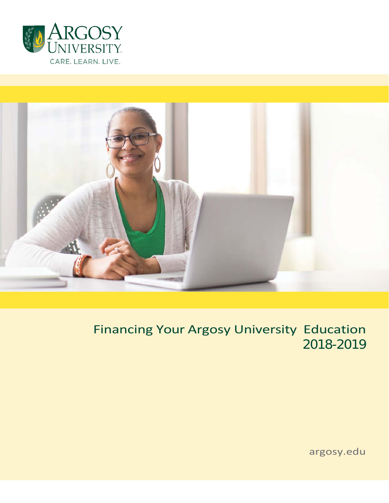



# Financing Your Argosy University Education 2018-2019

argosy.edu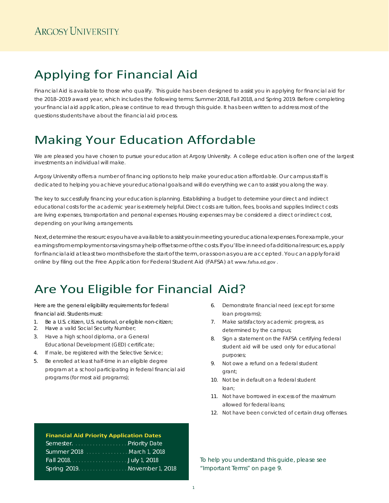# Applying for Financial Aid

Financial Aid is available to those who qualify. This guide has been designed to assist you in applying for financial aid for the 2018–2019 award year, which includes the following terms: Summer 2018, Fall 2018, and Spring 2019. Before completing your financial aid application, please continue to read through this guide. It has been written to address most of the questions students have about the financial aid process.

# Making Your Education Affordable

We are pleased you have chosen to pursue your education at Argosy University. A college education is often one of the largest investments an individual will make.

Argosy University offers a number of financing options to help make your education affordable. Our campus staff is dedicated to helping you achieve your educational goals and will do everything we can to assist you along the way.

The key to successfully financing your education is planning. Establishing a budget to determine your direct and indirect educational costs for the academic year is extremely helpful. Direct costs are tuition, fees, books and supplies. Indirect costs are living expenses, transportation and personal expenses. Housing expenses may be considered a direct or indirect cost, depending on your living arrangements.

Next, determine the resources you have available to assist you in meeting your educational expenses. For example, your earningsfromemploymentorsavingsmayhelpoffsetsomeofthecosts.Ifyou'llbeinneedofadditionalresources,apply for financial aid at least two months before the start of the term, or as soon as you are accepted. You can apply for aid online by filing out the Free Application for Federal Student Aid (FAFSA) at [www.fafsa.ed.gov](http://www.fafsa.ed.gov/) .

# Are You Eligible for Financial Aid?

Here are the general eligibility requirements for federal financial aid. Students must:

- 1. Be a U.S. citizen, U.S. national, or eligible non-citizen;
- 2. Have a valid Social Security Number;
- 3. Have a high school diploma, or a General Educational Development (GED) certificate;
- 4. If male, be registered with the Selective Service;
- 5. Be enrolled at least half-time in an eligible degree program at a school participating in federal financial aid programs (for most aid programs);
- 6. Demonstrate financial need (except for some loan programs);
- 7. Make satisfactory academic progress, as determined by the campus;
- 8. Sign a statement on the FAFSA certifying federal student aid will be used only for educational purposes;
- 9. Not owe a refund on a federal student grant;
- 10. Not be in default on a federal student loan;
- 11. Not have borrowed in excess of the maximum allowed for federal loans;
- 12. Not have been convicted of certain drug offenses.

To help you understand this guide, please see "Important Terms" on page 9.

## **Financial Aid Priority Application Dates**

| Summer 2018 <b>Supering the March 1, 2018</b> |
|-----------------------------------------------|
|                                               |
| Spring 2019. November 1, 2018.                |
|                                               |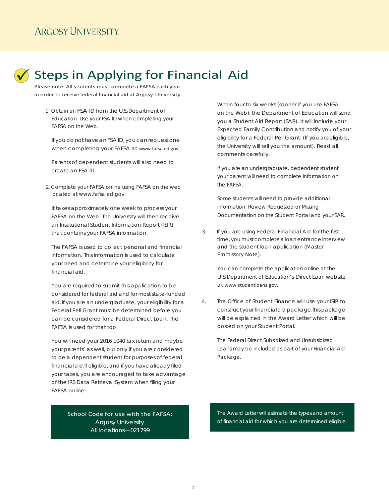# Steps in Applying for Financial Aid

Please note: All students must complete a FAFSA each year in order to receive federal financial aid at Argosy University.

 1. Obtain an FSA ID from the U.S. Department of Education. Use your FSA ID when completing your FAFSA on the Web.

If you do not have an FSA ID, you can request one when completing your FAFSA at [www.fafsa.ed.gov.](http://www.fafsa.ed.gov/)

Parents of dependent students will also need to create an FSA ID.

2. Complete your FAFSA online using FAFSA on the web located at www.fafsa.ed.gov

It takes approximately one week to process your FAFSA on the Web. The University will then receive an Institutional Student Information Report (ISIR) that contains your FAFSA information.

The FAFSA is used to collect personal and financial information. This information is used to calculate your need and determine your eligibility for financial aid.

You are required to submit this application to be considered for federal aid and for most state-funded aid. If you are an undergraduate, your eligibility for a Federal Pell Grant must be determined before you can be considered for a Federal Direct Loan. The FAFSA is used for that too.

You will need your 2016 1040 tax return and maybe your parents' as well, but only if you are considered to be a dependent student for purposes of federal financial aid. If eligible, and if you have already filed your taxes, you are encouraged to take advantage of the IRS Data Retrieval System when filing your FAFSA online.

> School Code for use with the FAFSA: Argosy University All locations—021799

Within four to six weeks (sooner if you use FAFSA on the Web), the Department of Education will send you a Student Aid Report (SAR). It will include your Expected Family Contribution and notify you of your eligibility for a Federal Pell Grant. (If you areeligible, the University will tell you the amount). Read all comments carefully.

If you are an undergraduate, dependent student your parent will need to complete information on the FAFSA.

Some students will need to provide additional information. Review Requested or Missing Documentation on the Student Portal and your SAR.

3. If you are using Federal Financial Aid for the first time, you must complete a loan entrance interview and the student loan application (Master Promissory Note).

> You can complete the application online at the U.S. Department of Education's Direct Loan website at [www.studentloans.gov.](http://www.studentloans.gov/)

4. The Office of Student Finance will use your ISIR to construct your financial aid package. This package will be explained in the Award Letter which will be posted on your Student Portal.

> The Federal Direct Subsidized and Unsubsidized Loans may be included as part of your Financial Aid Package.

The Award Letter will estimate the types and amount of financial aid for which you are determined eligible.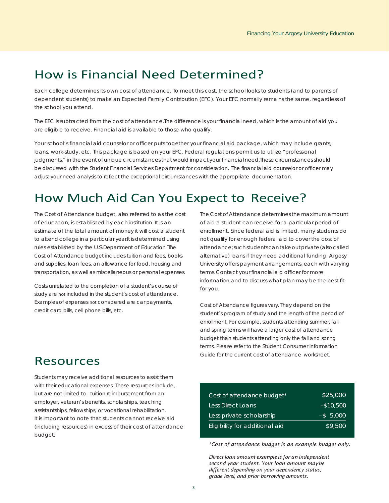# How is Financial Need Determined?

Each college determines its own cost of attendance. To meet this cost, the school looks to students (and to parents of dependent students) to make an Expected Family Contribution (EFC). Your EFC normally remains the same, regardless of the school you attend.

The EFC is subtracted from the cost of attendance. The difference is your financial need, which is the amount of aid you are eligible to receive. Financial aid is available to those who qualify.

Your school's financial aid counselor or officer puts together your financial aid package, which may include grants, loans, work-study, etc. This package is based on your EFC. Federal regulations permit us to utilize "professional judgments," in the event of unique circumstances that would impact your financial need. These circumstances should be discussed with the Student Financial Services Department for consideration. The financial aid counselor or officer may adjust your need analysis to reflect the exceptional circumstances with the appropriate documentation.

# How Much Aid Can You Expect to Receive?

The Cost of Attendance budget, also referred to as the cost of education, is established by each institution. It is an estimate of the total amount of money it will cost a student to attend college in a particular year. It is determined using rules established by the U.S. Department of Education. The Cost of Attendance budget includes tuition and fees, books and supplies, loan fees, an allowance for food, housing and transportation, as well as miscellaneous or personal expenses.

Costs unrelated to the completion of a student's course of study are not included in the student's cost of attendance. Examples of expenses not considered are car payments, credit card bills, cell phone bills, etc.

The Cost of Attendance determines the maximum amount of aid a student can receive for a particular period of enrollment. Since federal aid is limited, many students do not qualify for enough federal aid to cover the cost of attendance;suchstudentscantakeoutprivate(alsocalled alternative) loans if they need additional funding. Argosy University offers payment arrangements, each with varying terms. Contact your financial aid officer for more information and to discuss what plan may be the best fit for you.

Cost of Attendance figures vary. They depend on the student's program of study and the length of the period of enrollment. For example, students attending summer, fall and spring terms will have a larger cost of attendance budget than students attending only the fall and spring terms. Please refer to the Student Consumer Information Guide for the current cost of attendance worksheet.

## Resources

Students may receive additional resources to assist them with their educational expenses. These resources include, but are not limited to: tuition reimbursement from an employer, veteran's benefits, scholarships, teaching assistantships, fellowships, or vocational rehabilitation. It is important to note that students cannot receive aid (including resources) in excess of their cost of attendance budget.

| Cost of attendance budget*     | \$25,000     |
|--------------------------------|--------------|
| Less Direct Loans              | $-$10,500$   |
| Less private scholarship       | $-$ \$ 5.000 |
| Eligibility for additional aid | \$9,500      |

*\*Cost of attendance budget is an example budget only.*

*Direct loan amount example is for an independent second year student. Your loan amount maybe different depending on your dependency status, grade level, and prior borrowing amounts.*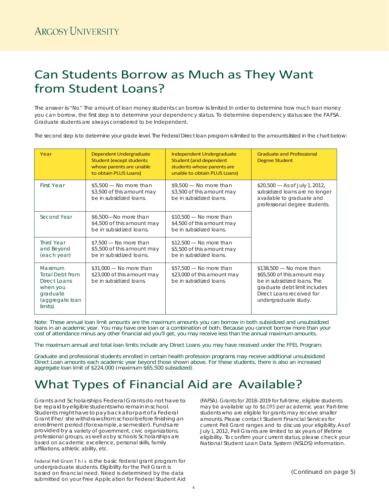# Can Students Borrow as Much as They Want from Student Loans?

The answer is "No." The amount of loan money students can borrow is limited. In order to determine how much loan money you can borrow, the first step is to determine your dependency status. To determine dependency status see the FAFSA. Graduate students are always considered to be Independent.

The second step is to determine your grade level. The Federal Direct loan program is limited to the amounts listed in the chart below:

| Year                                                                                                    | Dependent Undergraduate<br><b>Student (except students)</b><br>whose parents are unable<br>to obtain PLUS Loans) | Independent Undergraduate<br>Student (and dependent<br>students whose parents are<br>unable to obtain PLUS Loans) | <b>Graduate and Professional</b><br><b>Degree Student</b>                                                                                                                    |
|---------------------------------------------------------------------------------------------------------|------------------------------------------------------------------------------------------------------------------|-------------------------------------------------------------------------------------------------------------------|------------------------------------------------------------------------------------------------------------------------------------------------------------------------------|
| <b>First Year</b>                                                                                       | $$5,500$ - No more than<br>\$3,500 of this amount may<br>be in subsidized loans.                                 | $$9,500$ - No more than<br>\$3,500 of this amount may<br>be in subsidized loans.                                  | $$20,500$ - As of July 1, 2012,<br>subsidized loans are no longer<br>available to graduate and<br>professional degree students.                                              |
| Second Year                                                                                             | \$6,500-No more than<br>\$4,500 of this amount may<br>be in subsidized loans.                                    | $$10,500$ - No more than<br>\$4,500 of this amount may<br>be in subsidized loans.                                 |                                                                                                                                                                              |
| <b>Third Year</b><br>and Beyond<br>(each year)                                                          | $$7,500$ - No more than<br>\$5,500 of this amount may<br>be in subsidized loans.                                 | $$12,500$ - No more than<br>\$5,500 of this amount may<br>be in subsidized loans.                                 |                                                                                                                                                                              |
| Maximum<br><b>Total Debt from</b><br>Direct Loans<br>when you<br>graduate<br>(aggregate loan<br>limits) | $$31,000$ - No more than<br>\$23,000 of this amount may<br>be in subsidized loans.                               | $$57,500$ - No more than<br>\$23,000 of this amount may<br>be in subsidized loans.                                | $$138,500$ - No more than<br>\$65,500 of this amount may<br>be in subsidized loans. The<br>graduate debt limit includes<br>Direct Loans received for<br>undergraduate study. |

Note: These annual loan limit amounts are the maximum amounts you can borrow in both subsidized and unsubsidized loans in an academic year. You may have one loan or a combination of both. Because you cannot borrow more than your cost of attendance minus any other financial aid you'll get, you may receive less than the annual maximum amounts.

The maximum annual and total loan limits include any Direct Loans you may have received under the FFEL Program.

Graduate and professional students enrolled in certain health profession programs may receive additional unsubsidized Direct Loan amounts each academic year beyond those shown above. For these students, there is also an increased aggregate loan limit of \$224,000 (maximum \$65,500 subsidized).

# What Types of Financial Aid are Available?

Grants and Scholarships Federal Grants do not haveto be repaid by eligible students who remain in school. Students might have to pay back all or part of a Federal Grantifhe/ she withdrawsfromschoolbeforefinishingan enrollment period (forexample, a semester). Fundsare providedby a variety of government, civic organizations, professional groups, as well as by schools. Scholarships are based on academic excellence, personal skills, family affiliations, athletic ability, etc.

Federal Pell Grant This is the basic federal grant program for undergraduate students. Eligibility for the Pell Grant is based on financial need. Need is determined by the data submitted on your Free Application for Federal Student Aid (FAFSA). Grants for 2018–2019 for full-time, eligible students may be available up to \$6,095 per academic year. Part-time students who are eligible for grants may receive smaller amounts. Please contact Student Financial Services for current Pell Grant ranges and to discuss your eligibility.As of July 1, 2012, Pell Grants are limited to six years of lifetime eligibility. Toconfirm your current status, please check your National Student Loan Data System (NSLDS) information.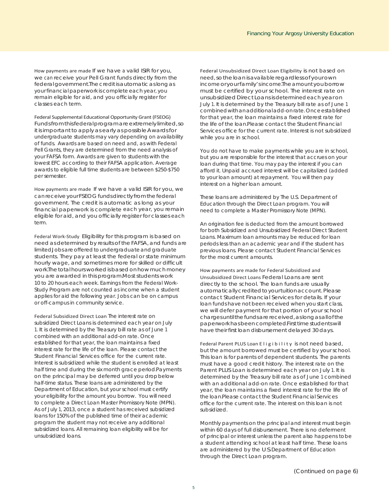How payments are made If we have a valid ISIR for you, we can receive your Pell Grant funds directly from the federal government. The credit is automatic as long as your financial paperwork is complete each year, you remain eligible for aid, and you officially register for classes each term.

Federal Supplemental Educational Opportunity Grant (FSEOG) Fundsfromthisfederalprogramareextremelylimited,so it is important to apply as early as possible Awards for undergraduate students may vary depending on availability of funds. Awards are based on need and, as with Federal Pell Grants, they are determined from the need analysis of your FAFSA form. Awards are given to students with the lowest EFC according to their FAFSA application. Average awards to eligible full time students are between \$250-\$750 per semester.

How payments are made If we have a valid ISIR for you, we can receive your FSEOG funds directly from the federal government. The credit is automatic as long as your financial paperwork is complete each year, you remain eligible for aid, and you officially register for classes each term.

Federal Work-Study Eligibility for this program is based on need as determined by results of the FAFSA, and funds are limited Jobs are offered to undergraduate and graduate students. They pay at least the federal or state minimum hourly wage, and sometimes more for skilled or difficult work. The total hours worked is based on how much money you are awarded in this program. Most students work 10 to 20 hours each week. Earnings from the Federal Work-Study Program are not counted as income when a student applies for aid the following year. Jobs can be on campus or off-campus in community service.

Federal Subsidized Direct Loan The interest rate on subsidized Direct Loans is determined each year on July 1. It is determined by the Treasury bill rate as of June 1 combined with an additional add-on rate. Once established for that year, the loan maintains a fixed interest rate for the life of the loan. Please contact the Student Financial Services office for the current rate. Interest is subsidized while the student is enrolled at least half time and during the six month grace period. Payments on the principal may be deferred until you dropbelow half-time status. These loans are administered by the Department of Education, but your school must certify your eligibility for the amount you borrow. You will need to complete a Direct Loan Master Promissory Note (MPN). As of July 1, 2013, once a student has received subsidized loans for 150% of the published time of their academic program the student may not receive any additional subsidized loans. All remaining loan eligibility will be for unsubsidized loans.

Federal Unsubsidized Direct Loan Eligibility is not based on need,sotheloanisavailableregardlessofyourown income or your family's income. The amount you borrow must be certified by your school. The interest rate on unsubsidized Direct Loansisdeterminedeach yearon July 1. It is determined by the Treasury bill rate as of June 1 combinedwithanadditionaladd-onrate. Onceestablished for that year, the loan maintains a fixed interest rate for the life of the loan. Please contact the Student Financial Services office for the current rate. Interest is not subsidized while you are in school.

You do not have to make payments while you are in school, but you are responsible for the interest that accrues on your loan during that time. You may pay the interest if you can afford it. Unpaid accrued interest will be capitalized (added to your loan amount) at repayment. You will then pay interest on a higher loan amount.

These loans are administered by The U.S. Department of Education through the Direct Loan program. You will need to complete a Master Promissory Note (MPN).

An origination fee is deducted from the amount borrowed for both Subsidized and Unsubsidized Federal Direct Student Loans. Maximum loan amounts may be reduced for loan periods less than an academic year and if the student has previous loans. Please contact Student Financial Services for the most current amounts.

How payments are made for Federal Subsidized and Unsubsidized Direct Loans Federal Loans are sent directly to the school. The loan funds are usually automaticallycreditedtoyourtuitionaccount. Please contact Student Financial Services for details. If your loan funds have not been received when you start class, we will defer payment for that portion of your school chargesuntilthefundsarereceived,aslongasallofthe paperwork has been completed First time students will have their first loan disbursement delayed 30 days.

Federal Parent PLUS Loan Eligibility is not need based, but the amount borrowed must be certified by your school. This loan is for parents of dependent students. The parents must have a good credit history. The interest rate on the Parent PLUS Loan is determined each year on July 1. It is determined by the Treasury bill rate as of June 1 combined with an additional add-on rate. Once established for that year, the loan maintains a fixed interest rate for the life of the loan. Please contact the Student Financial Services office for the current rate. The interest on this loan is not subsidized.

Monthly payments on the principal and interest must begin within 60 days of full disbursement. There is no deferment of principal or interest unless the parent also happens tobe a student attending school at least half time. These loans are administered by the U.S. Department of Education through the Direct Loan program.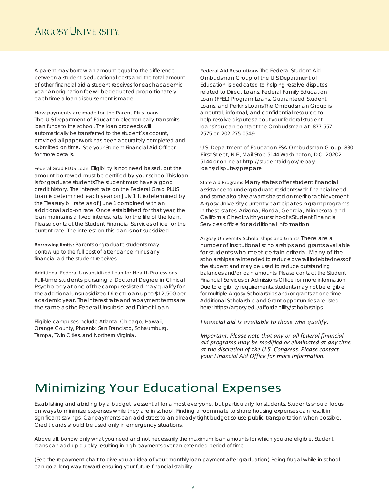## **ARGOSY UNIVERSITY**

A parent may borrow an amount equal to the difference between a student's educational costs and the total amount of other financial aid a student receives for eachacademic year. Anoriginationfeewillbededucted proportionately each time a loan disbursement is made.

How payments are made for the Parent Plus loans The U.S. Department of Education electronically transmits loan funds to the school. The loan proceeds will automatically be transferred to the student's account, provided all paperwork has been accurately completed and submitted on time. See your Student Financial Aid Officer for more details.

Federal Grad PLUS Loan Eligibility is not need based, but the amount borrowed must be certified by your school. This loan is for graduate students. The student must have a good credit history. The interest rate on the Federal Grad PLUS Loan is determined each year on July 1. It is determined by the Treasury bill rate as of June 1 combined with an additional add-on rate. Once established for that year, the loan maintains a fixed interest rate for the life of the loan. Please contact the Student Financial Services office for the current rate. The interest on this loan is not subsidized.

**Borrowing limits:** Parents or graduate students may borrow up to the full cost of attendance minus any financial aid the student receives.

Additional Federal Unsubsidized Loan for Health Professions Full-time students pursuing a Doctoral Degree in Clinical Psychologyatoneofthecampuseslistedmayqualifyfor the additional unsubsidized Direct Loan up to \$12,500 per academic year. The interest rate and repayment terms are the same as the Federal Unsubsidized Direct Loan.

Eligible campuses include Atlanta, Chicago, Hawaii, Orange County, Phoenix, San Francisco, Schaumburg, Tampa, Twin Cities, and Northern Virginia.

Federal Aid Resolutions The Federal Student Aid Ombudsman Group of the U.S. Department of Education is dedicated to helping resolve disputes related to Direct Loans, Federal Family Education Loan (FFEL) Program Loans, Guaranteed Student Loans, and Perkins Loans. The Ombudsman Group is a neutral, informal, and confidential resource to help resolve disputes about your federalstudent loans. You can contact the Ombudsman at: 877-557-2575 or 202-275-0549

U.S. Department of Education FSA Ombudsman Group, 830 First Street, N. E., Mail Stop 5144 Washington, D.C . 20202- 5144 or online at [http://studentaid.g](http://studentaid/)ov/repayloans/disputes/prepare

State Aid Programs Many states offer student financial assistance to undergraduate residents with financial need, and some also give awards based on merit or achievement. Argosy University currently participates in grant programs in these states: Arizona, Florida, Georgia, Minnesota and California. Checkwithyourschool'sStudent Financial Services office for additional information.

Argosy University Scholarships and Grants There are a number of institutional scholarships and grants available for students who meet certain criteria. Many of the scholarships are intended to reduce overall indebtedness of the student and may be used to reduce outstanding balances and/or loan amounts. Please contact the Student Financial Services or Admissions Office for more information. Due to eligibility requirements, students may not be eligible for multiple Argosy Scholarships and/or grants at one time. Additional Scholarship and Grant opportunities are listed here: https://argosy.edu/affordability/scholarships.

## *Financial aid is available to those who qualify.*

*Important: Please note that any or all federal financial aid programs may be modified or eliminated at any time at the discretion of the U.S. Congress. Please contact your Financial Aid Office for more information.*

## Minimizing Your Educational Expenses

Establishing and abiding by a budget is essential for almost everyone, but particularly for students. Students should focus on ways to minimize expenses while they are in school. Finding a roommate to share housing expenses can result in significant savings. Car payments can add stress to an already tight budget so use public transportation when possible. Credit cards should be used only in emergency situations.

Above all, borrow only what you need and not necessarily the maximum loan amounts for which you are eligible. Student loans can add up quickly resulting in high payments over an extended period of time.

(See the repayment chart to give you an idea of your monthly loan payment after graduation.) Being frugal while in school can go a long way toward ensuring your future financial stability.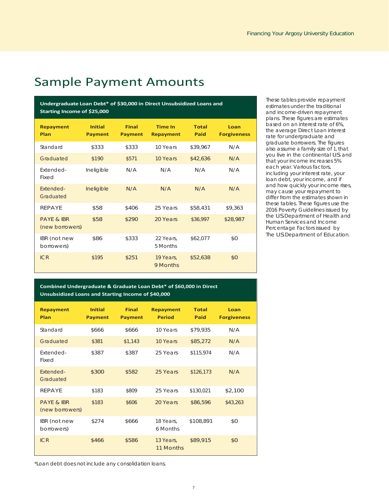## Sample Payment Amounts

**Undergraduate Loan Debt\* of \$30,000 in Direct Unsubsidized Loans and Starting Income of \$25,000**

| <b>Repayment</b><br>Plan                 | <b>Initial</b><br><b>Payment</b> | <b>Final</b><br><b>Payment</b> | <b>Time In</b><br><b>Repayment</b> | <b>Total</b><br>Paid | Loan<br><b>Forgiveness</b> |
|------------------------------------------|----------------------------------|--------------------------------|------------------------------------|----------------------|----------------------------|
| Standard                                 | \$333                            | \$333                          | 10 Years                           | \$39,967             | N/A                        |
| Graduated                                | \$190                            | \$571                          | 10 Years                           | \$42,636             | N/A                        |
| Extended-<br>Fixed                       | Ineligible                       | N/A                            | N/A                                | N/A                  | N/A                        |
| Fxtended-<br>Graduated                   | Ineligible                       | N/A                            | N/A                                | N/A                  | N/A                        |
| <b>REPAYE</b>                            | \$58                             | \$406                          | 25 Years                           | \$58,431             | \$9,363                    |
| <b>PAYE &amp; IBR</b><br>(new borrowers) | \$58                             | \$290                          | 20 Years                           | \$36,997             | \$28,987                   |
| IBR (not new<br>borrowers)               | \$86                             | \$333                          | 22 Years,<br>5 Months              | \$62,077             | \$0                        |
| ICR                                      | \$195                            | \$251                          | 19 Years,<br>9 Months              | \$52,638             | \$0                        |

**Combined Undergraduate & Graduate Loan Debt\* of \$60,000 in Direct Unsubsidized Loans and Starting Income of \$40,000**

| <b>Repayment</b><br>Plan                 | <b>Initial</b><br><b>Payment</b> | <b>Final</b><br><b>Payment</b> | <b>Repayment</b><br><b>Period</b> | <b>Total</b><br>Paid | Loan<br><b>Forgiveness</b> |
|------------------------------------------|----------------------------------|--------------------------------|-----------------------------------|----------------------|----------------------------|
| Standard                                 | \$666                            | \$666                          | 10 Years                          | \$79,935             | N/A                        |
| Graduated                                | \$381                            | \$1,143                        | 10 Years                          | \$85,272             | N/A                        |
| Extended-<br>Fixed                       | \$387                            | \$387                          | 25 Years                          | \$115,974            | N/A                        |
| Extended-<br>Graduated                   | \$300                            | \$582                          | 25 Years                          | \$126,173            | N/A                        |
| <b>REPAYE</b>                            | \$183                            | \$809                          | 25 Years                          | \$130,021            | \$2,100                    |
| <b>PAYE &amp; IBR</b><br>(new borrowers) | \$183                            | \$606                          | 20 Years                          | \$86,596             | \$43,263                   |
| IBR (not new<br>borrowers)               | \$274                            | \$666                          | 18 Years,<br>6 Months             | \$108,891            | \$0                        |
| ICR                                      | \$466                            | \$586                          | 13 Years,<br>11 Months            | \$89,915             | \$0                        |

\*Loan debt does not include any consolidation loans.

These tables provide repayment estimates under the traditional and income-driven repayment plans. These figures are estimates based on an interest rate of 6%, the average Direct Loan interest rate for undergraduate and graduate borrowers. The figures also assume a family size of 1, that you live in the continental U.S. and that your income increases 5% each year. Various factors, including your interest rate, your loan debt, your income, and if and how quickly your income rises, may cause your repayment to differ from the estimates shown in these tables. These figures use the 2016 Poverty Guidelines issued by the U.S. Department of Health and Human Services and Income Percentage Factors issued by The U.S. Department of Education.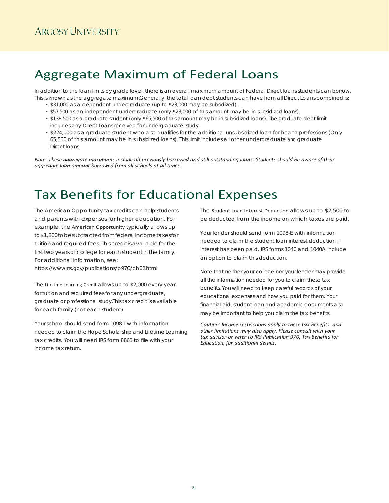# Aggregate Maximum of Federal Loans

In addition to the loan limits by grade level, there is an overall maximum amount of Federal Direct loans students can borrow. This is known as the aggregate maximum. Generally, the total loan debt students can have from all Direct Loans combined is:

- \$31,000 as a dependent undergraduate (up to \$23,000 may be subsidized).
- \$57,500 as an independent undergraduate (only \$23,000 of this amount may be in subsidized loans).
- \$138,500 as a graduate student (only \$65,500 of this amount may be in subsidized loans). The graduate debt limit includes any Direct Loans received for undergraduate study.
- \$224,000 as a graduate student who also qualifies for the additional unsubsidized loan for health professions. (Only 65,500 of this amount may be in subsidized loans). This limit includes all other undergraduate and graduate Direct loans.

*Note: These aggregate maximums include all previously borrowed and still outstanding loans. Students should be aware of their aggregate loan amount borrowed from all schools at all times.*

# Tax Benefits for Educational Expenses

The American Opportunity tax credits can help students and parents with expenses for higher education. For example, the American Opportunity typically allows up to\$1,800tobesubtractedfromfederal incometaxesfor tuition and required fees. This credit is available for the first two years of college for each student in the family. For additional information, see:

https://www.irs.gov/publications/p970/ch02.html

The Lifetime Learning Credit allows up to \$2,000 every year for tuition and required fees for any undergraduate, graduate or professional study. This tax credit is available for each family (not each student).

Your school should send form 1098-T with information needed to claim the Hope Scholarship and Lifetime Learning tax credits. You will need IRS form 8863 to file with your income tax return.

The Student Loan Interest Deduction allows up to \$2,500 to be deducted from the income on which taxes are paid.

Your lender should send form 1098-E with information needed to claim the student loan interest deduction if interest has been paid. IRS forms 1040 and 1040A include an option to claim this deduction.

Note that neither your college nor your lender may provide all the information needed for you to claim these tax benefits. You will need to keep careful records of your educational expenses and how you paid for them. Your

financial aid, student loan and academic documents also may be important to help you claim the tax benefits.

*Caution: Income restrictions apply to these tax benefits, and other limitations may also apply. Please consult with your tax advisor or refer to IRS Publication 970, Tax Benefits for Education, for additional details.*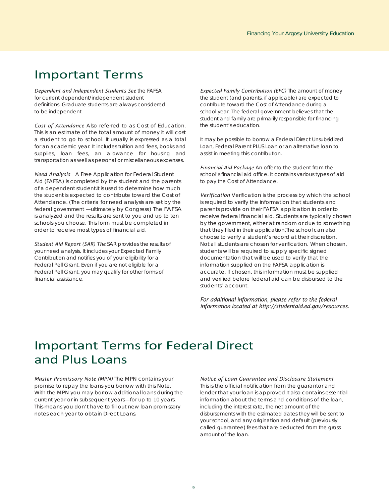## Important Terms

*Dependent and Independent Students See* the FAFSA for current dependent/independent student definitions. Graduate students are always considered to be independent.

*Cost of Attendance* Also referred to as Cost of Education. This is an estimate of the total amount of money it will cost a student to go to school. It usually is expressed as a total for an academic year. It includes tuition and fees, books and supplies, loan fees, an allowance for housing and transportation as well as personal or miscellaneous expenses.

*Need Analysis* A Free Application for Federal Student Aid (FAFSA) is completed by the student and the parents of a dependent student. It is used to determine how much the student is expected to contribute toward the Cost of Attendance. (The criteria for need analysis are set by the federal government —ultimately by Congress.) The FAFSA is analyzed and the results are sent to you and up to ten schools you choose. This form must be completed in order to receive most types of financial aid.

*Student Aid Report (SAR) The* SAR provides the results of your need analysis. It includes your Expected Family Contribution and notifies you of your eligibility for a Federal Pell Grant. Even if you are not eligible for a Federal Pell Grant, you may qualify for other forms of financial assistance.

*Expected Family Contribution (EFC)* The amount of money the student (and parents, if applicable) are expected to contribute toward the Cost of Attendance during a school year. The federal government believes that the student and family are primarily responsible for financing the student's education.

It may be possible to borrow a Federal Direct Unsubsidized Loan, Federal Parent PLUS Loan or an alternative loan to assist in meeting this contribution.

*Financial Aid Package* An offer to the student from the school's financial aid office. It contains various types of aid to pay the Cost of Attendance.

*Verification* Verification is the process by which the school is required to verify the information that students and parents provide on their FAFSA application in order to receive federal financial aid. Students are typically chosen by the government, either at random or due to something that they filed in their application. The school can also choose to verify a student's record at their discretion. Not all students are chosen for verification. When chosen, students will be required to supply specific signed documentation that will be used to verify that the information supplied on the FAFSA application is accurate. If chosen, this information must be supplied and verified before federal aid can be disbursed to the students' account.

*For additional information, please refer to the federal information located at [http://studentaid.ed.gov/resources.](http://studentaid.ed.gov/resources)*

# Important Terms for Federal Direct and Plus Loans

*Master Promissory Note (MPN)* The MPN contains your promise to repay the loans you borrow with this Note. With the MPN you may borrow additional loans during the current year or in subsequent years—for up to 10 years. This means you don't have to fill out new loan promissory notes each year to obtain Direct Loans.

### *Notice of Loan Guarantee and Disclosure Statement*

This is the official notification from the guarantor and lender that your loan is approved. It also contains essential information about the terms and conditions of the loan, including the interest rate, the net amount of the disbursements with the estimated dates they will be sent to your school, and any origination and default (previously called guarantee) fees that are deducted from the gross amount of the loan.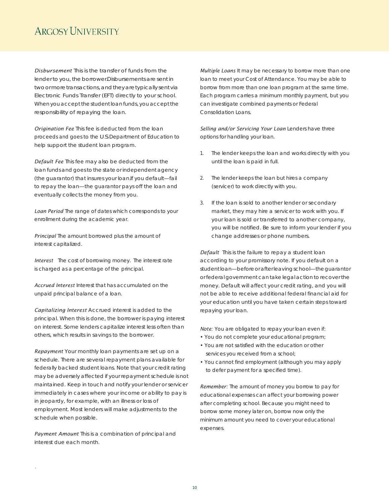## **ARGOSY UNIVERSITY**

*Disbursement* This is the transfer of funds from the lender to you, the borrower. Disbursements are sent in two or more transactions, and they are typically sent via Electronic Funds Transfer (EFT) directly to your school. When you accept the student loan funds, you accept the responsibility of repaying the loan.

*Origination Fee* This fee is deducted from the loan proceeds and goes to the U.S. Department of Education to help support the student loan program.

*Default Fee* This fee may also be deducted from the loan funds and goesto the state or independent agency (the guarantor) that insures your loan. If you default—fail to repay the loan—the guarantor pays off the loan and eventually collects the money from you.

*Loan Period* The range of dates which corresponds to your enrollment during the academic year.

*Principal* The amount borrowed plus the amount of interest capitalized.

*Interest* The cost of borrowing money. The interest rate is charged as a percentage of the principal.

*Accrued Interest* Interest that has accumulated on the unpaid principal balance of a loan.

*Capitalizing Interest* Accrued interest is added to the principal. When this is done, the borrower is paying interest on interest. Some lenders capitalize interest less often than others, which results in savings to the borrower.

*Repayment* Your monthly loan payments are set up on a schedule. There are several repayment plans available for federally backed student loans. Note that your credit rating may be adversely affected if your repayment schedule is not maintained. Keep in touch and notify your lender or servicer immediately in cases where your income or ability to pay is in jeopardy, for example, with an illness or loss of employment. Most lenders will make adjustments to the schedule when possible.

*Payment Amount* This is a combination of principal and interest due each month.

.

*Multiple Loans* It may be necessary to borrow more than one loan to meet your Cost of Attendance. You may be able to borrow from more than one loan program at the same time. Each program carries a minimum monthly payment, but you can investigate combined payments or Federal Consolidation Loans.

Selling and/or Servicing Your Loan Lenders have three options for handling your loan.

- 1. The lender keeps the loan and works directly with you until the loan is paid in full.
- 2. The lender keeps the loan but hires a company (servicer) to work directly with you.
- 3. If the loan is sold to another lender or secondary market, they may hire a servicer to work with you. If your loan is sold or transferred to another company, you will be notified. Be sure to inform your lender if you change addresses or phone numbers.

*Default* This is the failure to repay a student loan according to your promissory note. If you default on a studentloan—beforeorafterleavingschool—theguarantor or federal government can take legal action to recover the money. Default will affect your credit rating, and you will not be able to receive additional federal financial aid for your education until you have taken certain steps toward repaying your loan.

*Note:* You are obligated to repay your loan even if:

- You do not complete your educational program;
- You are not satisfied with the education or other services you received from a school;
- You cannot find employment (although you may apply to defer payment for a specified time).

*Remember:* The amount of money you borrow to pay for educational expenses can affect your borrowing power after completing school. Because you might need to borrow some money later on, borrow now only the minimum amount you need to cover your educational expenses.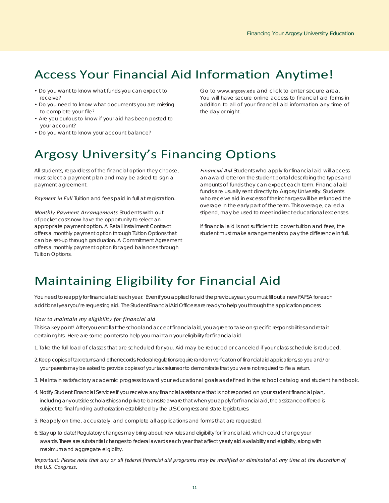# Access Your Financial Aid Information Anytime!

- Do you want to know what funds you can expect to receive?
- Do you need to know what documents you are missing to complete your file?
- Are you curious to know if your aid has been posted to your account?
- Do you want to know your account balance?

Go to [www.argosy.edu](http://www.argosy.edu/) and click to enter secure area. You will have secure online access to financial aid forms in addition to all of your financial aid information any time of the day or night.

# Argosy University's Financing Options

All students, regardless of the financial option they choose, must select a payment plan and may be asked to sign a payment agreement.

Payment in Full Tuition and fees paid in full at registration.

*Monthly Payment Arrangements* Students with out of pocket costs now have the opportunity to select an appropriate payment option. A Retail Installment Contract offers a monthly payment option through Tuition Options that can be set-up through graduation. A Commitment Agreement offers a monthly payment option for aged balances through Tuition Options.

*Financial Aid* Students who apply for financial aid will access an award letter on the student portal describing the typesand amounts of funds they can expect each term. Financial aid funds are usually sent directly to Argosy University. Students who receive aid in excess of their charges will be refunded the overage in the early part of the term. This overage, called a stipend, may be used to meet indirect educational expenses.

If financial aid is not sufficient to cover tuition and fees, the student must make arrangements to pay the difference in full.

# Maintaining Eligibility for Financial Aid

You need to reapply for financial aid each year. Even if you applied for aid the previous year, you must fill out a new FAFSA for each additional year you're requesting aid. The Student Financial Aid Officers are ready to help you through the application process.

### *How to maintain my eligibility for financial aid*

This is a key point! After you enroll at the school and accept financial aid, you agree to take on specific responsibilities and retain certain rights. Here are some pointers to help you maintain your eligibility for financial aid:

- 1. Take the full load of classes that are scheduled for you. Aid may be reduced or canceled if your class schedule is reduced.
- 2. Keep copies of tax returns and other records. Federal regulations require random verification of financial aid applications, so you and/ or your parents may be asked to provide copies of your tax returns or to demonstrate that you were not required to file a return.
- 3. Maintain satisfactory academic progress toward your educational goals as defined in the school catalog and student handbook.
- 4. Notify Student Financial Services if you receive any financial assistance that is not reported on your student financial plan, including any outside scholarships and private loans. Be aware that when you apply for financial aid, the assistance offered is subject to final funding authorization established by the U.S. Congress and state legislatures.
- 5. Reapply on time, accurately, and complete all applications and forms that are requested.
- 6. Stay up to date! Regulatory changes may bring about new rules and eligibility for financial aid, which could change your awards. There are substantial changes to federal awards each year that affect yearly aid availability and eligibility, along with maximum and aggregate eligibility.

*Important: Please note that any or all federal financial aid programs may be modified or eliminated at any time at the discretion of the U.S. Congress.*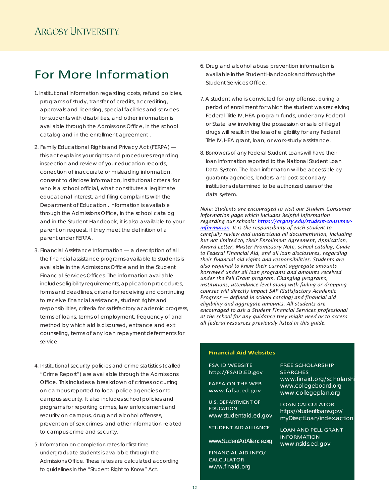# For More Information

- 1. Institutional information regarding costs, refund policies, programs of study, transfer of credits, accrediting, approvals and licensing, special facilities and services for students with disabilities, and other information is available through the Admissions Office, in the school catalog and in the enrollment agreement .
- 2. Family Educational Rights and Privacy Act (FERPA) this act explains your rights and procedures regarding inspection and review of your education records, correction of inaccurate or misleading information, consent to disclose information, institutional criteria for who is a school official, what constitutes a legitimate educational interest, and filing complaints with the Department of Education . Information is available through the Admissions Office, in the school catalog and in the Student Handbook; it is also available to your parent on request, if they meet the definition of a parent under FERPA.
- 3. Financial Assistance Information a description of all the financial assistance programs available to students is available in the Admissions Office and in the Student Financial Services Offices. The information available includes eligibility requirements, application procedures, forms and deadlines, criteria for receiving and continuing to receive financial assistance, student rights and responsibilities, criteria for satisfactory academic progress, terms of loans, terms of employment, frequency of and method by which aid is disbursed, entrance and exit counseling, terms of any loan repaymentdeferments for service.
- 4. Institutional security policies and crime statistics (called "Crime Report") are available through the Admissions Office. This includes a breakdown of crimes occurring on campus reported to local police agencies or to campus security. It also includes school policies and programs for reporting crimes, law enforcement and security on campus, drug and alcohol offenses, prevention of sex crimes, and other information related to campus crime and security.
- 5. Information on completion rates for first-time undergraduate students is available through the Admissions Office. These rates are calculated according to guidelines in the "Student Right to Know" Act.
- 6. Drug and alcohol abuse prevention information is available in the Student Handbook and through the Student Services Office.
- 7. A student who is convicted for any offense, during a period of enrollment for which the student was receiving Federal Title IV, HEA program funds, under any Federal or State law involving the possession or sale of illegal drugs will result in the loss of eligibility for any Federal Title IV, HEA grant, loan, or work-study assistance.
- 8. Borrowers of any Federal Student Loans will have their loan information reported to the National Student Loan Data System. The loan information will be accessible by guaranty agencies, lenders, and post-secondary institutions determined to be authorized users of the data system.

*Note: Students are encouraged to visit our Student Consumer Information page which includes helpful information regarding our schools: [https://argosy.edu/student-consumer](https://argosy.edu/student-consumer-information)[information.](https://argosy.edu/student-consumer-information) It is the responsibility of each student to carefully review and understand all documentation, including but not limited to, their Enrollment Agreement, Application, Award Letter, Master Promissory Note, school catalog, Guide to Federal Financial Aid, and all loan disclosures, regarding their financial aid rights and responsibilities. Students are also required to know their current aggregate amounts borrowed under all loan programs and amounts received under the Pell Grant program. Changing programs, institutions, attendance level along with failing or dropping courses will directly impact SAP (Satisfactory Academic Progress — defined in school catalog) and financial aid eligibility and aggregate amounts. All students are encouraged to ask a Student Financial Services professional at the school for any guidance they might need or to access all federal resources previously listed in this guide.*

## **Financial Aid Websites**

FSA ID WEBSITE [http://FSAID.ED.gov](http://fsaid.ed.gov/)

FAFSA ON THE WEB [www.fafsa.ed.gov](http://www.fafsa.ed.gov/)

U.S. DEPARTMENT OF EDUCATION *[www.studentaid.ed.gov](http://www.studentaid.ed.gov/)*

STUDENT AID ALLIANCE

*[www.StudentAidAlliance.org](http://www.studentaidalliance.org/)*

FINANCIAL AID INFO/ **CALCULATOR** *[www.finaid.org](http://www.finaid.org/)*

FREE SCHOLARSHIP **SEARCHES** www.finaid.org/scholarshi *[www.collegeboard.org](http://www.collegeboard.org/) [www.collegeplan.org](http://www.collegeplan.org/)*

LOAN CALCULATOR *https://studentloans.gov/ myDirectLoan/index.action*

LOAN AND PELL GRANT **INFORMATION** *[www.nslds.ed.gov](http://www.nslds.ed.gov/)*